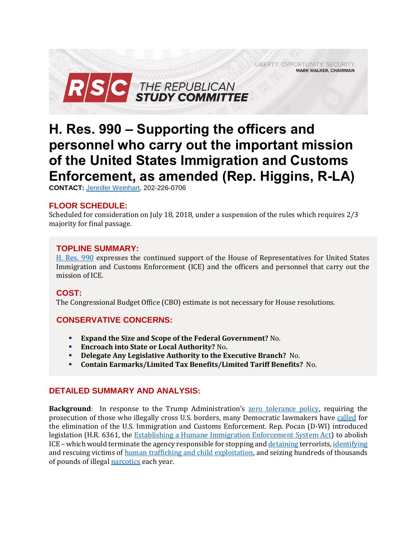LIBERTY. OPPORTUNITY. SECURITY. **MARK WALKER, CHAIRMAN** 



# **H. Res. 990 – Supporting the officers and personnel who carry out the important mission of the United States Immigration and Customs Enforcement, as amended (Rep. Higgins, R-LA)**

**CONTACT:** [Jennifer Weinhart,](mailto:jennifer.weinhart@mail.house.gov) 202-226-0706

# **FLOOR SCHEDULE:**

Scheduled for consideration on July 18, 2018, under a suspension of the rules which requires 2/3 majority for final passage.

#### **TOPLINE SUMMARY:**

[H. Res. 990](https://docs.house.gov/billsthisweek/20180716/HRES990.pdf) expresses the continued support of the House of Representatives for United States Immigration and Customs Enforcement (ICE) and the officers and personnel that carry out the mission of ICE.

# **COST:**

The Congressional Budget Office (CBO) estimate is not necessary for House resolutions.

# **CONSERVATIVE CONCERNS:**

- **Expand the Size and Scope of the Federal Government?** No.
- **Encroach into State or Local Authority?** No**.**
- **Delegate Any Legislative Authority to the Executive Branch?** No.
- **Contain Earmarks/Limited Tax Benefits/Limited Tariff Benefits?** No.

# **DETAILED SUMMARY AND ANALYSIS:**

**Background**: In response to the Trump Administration's [zero tolerance policy,](https://www.justice.gov/opa/speech/attorney-general-sessions-delivers-remarks-discussing-immigration-enforcement-actions) requiring the prosecution of those who illegally cross U.S. borders, many Democratic lawmakers have [called](http://thehill.com/homenews/396989-eric-holder-calls-to-abolish-ice-are-a-gift-to-republicans) for the elimination of the U.S. Immigration and Customs Enforcement. Rep. Pocan (D-WI) introduced legislation (H.R. 6361, the [Establishing a Humane Immigration Enforcement System Act\)](https://pocan.house.gov/media-center/press-releases/members-of-congress-introduce-legislation-to-terminate-ice-and-transfer) to abolish ICE – which would terminate the agency responsible for stopping an[d detaining](https://www.ice.gov/counterterrorism-and-criminal-exploitation-unit) terrorists[, identifying](https://www.ice.gov/predator) and rescuing victims of [human trafficking and child exploitation,](https://www.ice.gov/features/human-trafficking) and seizing hundreds of thousands of pounds of illegal [narcotics](https://www.ice.gov/narcotics) each year.